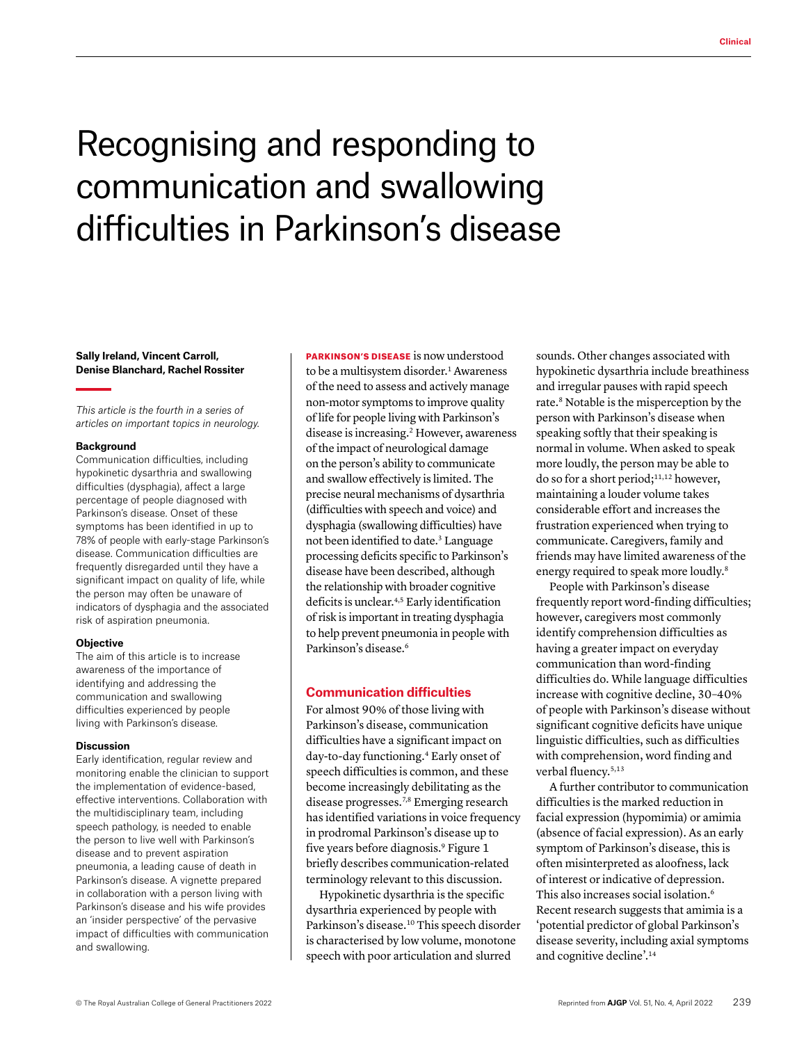# Recognising and responding to communication and swallowing difficulties in Parkinson's disease

**Sally Ireland, Vincent Carroll, Denise Blanchard, Rachel Rossiter**

*This article is the fourth in a series of articles on important topics in neurology.*

#### **Background**

Communication difficulties, including hypokinetic dysarthria and swallowing difficulties (dysphagia), affect a large percentage of people diagnosed with Parkinson's disease. Onset of these symptoms has been identified in up to 78% of people with early-stage Parkinson's disease. Communication difficulties are frequently disregarded until they have a significant impact on quality of life, while the person may often be unaware of indicators of dysphagia and the associated risk of aspiration pneumonia.

#### **Objective**

The aim of this article is to increase awareness of the importance of identifying and addressing the communication and swallowing difficulties experienced by people living with Parkinson's disease.

#### **Discussion**

Early identification, regular review and monitoring enable the clinician to support the implementation of evidence-based, effective interventions. Collaboration with the multidisciplinary team, including speech pathology, is needed to enable the person to live well with Parkinson's disease and to prevent aspiration pneumonia, a leading cause of death in Parkinson's disease. A vignette prepared in collaboration with a person living with Parkinson's disease and his wife provides an 'insider perspective' of the pervasive impact of difficulties with communication and swallowing.

PARKINSON'S DISEASE is now understood to be a multisystem disorder.<sup>1</sup> Awareness of the need to assess and actively manage non-motor symptoms to improve quality of life for people living with Parkinson's disease is increasing.2 However, awareness of the impact of neurological damage on the person's ability to communicate and swallow effectively is limited. The precise neural mechanisms of dysarthria (difficulties with speech and voice) and dysphagia (swallowing difficulties) have not been identified to date.<sup>3</sup> Language processing deficits specific to Parkinson's disease have been described, although the relationship with broader cognitive deficits is unclear.4,5 Early identification of risk is important in treating dysphagia to help prevent pneumonia in people with Parkinson's disease.6

#### **Communication difficulties**

For almost 90% of those living with Parkinson's disease, communication difficulties have a significant impact on day-to-day functioning.4 Early onset of speech difficulties is common, and these become increasingly debilitating as the disease progresses.7,8 Emerging research has identified variations in voice frequency in prodromal Parkinson's disease up to five years before diagnosis.9 Figure 1 briefly describes communication-related terminology relevant to this discussion.

Hypokinetic dysarthria is the specific dysarthria experienced by people with Parkinson's disease.10 This speech disorder is characterised by low volume, monotone speech with poor articulation and slurred

sounds. Other changes associated with hypokinetic dysarthria include breathiness and irregular pauses with rapid speech rate.<sup>8</sup> Notable is the misperception by the person with Parkinson's disease when speaking softly that their speaking is normal in volume. When asked to speak more loudly, the person may be able to do so for a short period;11,12 however, maintaining a louder volume takes considerable effort and increases the frustration experienced when trying to communicate. Caregivers, family and friends may have limited awareness of the energy required to speak more loudly.8

People with Parkinson's disease frequently report word-finding difficulties; however, caregivers most commonly identify comprehension difficulties as having a greater impact on everyday communication than word-finding difficulties do. While language difficulties increase with cognitive decline, 30–40% of people with Parkinson's disease without significant cognitive deficits have unique linguistic difficulties, such as difficulties with comprehension, word finding and verbal fluency.<sup>5,13</sup>

A further contributor to communication difficulties is the marked reduction in facial expression (hypomimia) or amimia (absence of facial expression). As an early symptom of Parkinson's disease, this is often misinterpreted as aloofness, lack of interest or indicative of depression. This also increases social isolation.6 Recent research suggests that amimia is a 'potential predictor of global Parkinson's disease severity, including axial symptoms and cognitive decline'.14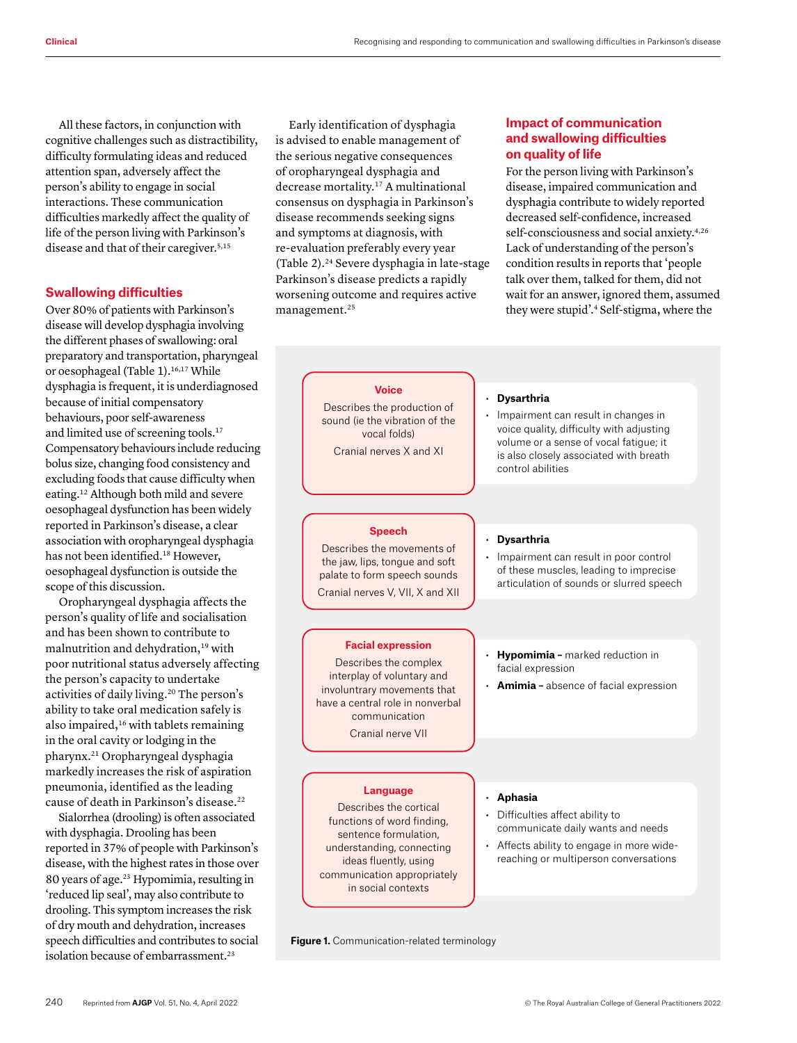All these factors, in conjunction with cognitive challenges such as distractibility, difficulty formulating ideas and reduced attention span, adversely affect the person's ability to engage in social interactions. These communication difficulties markedly affect the quality of life of the person living with Parkinson's disease and that of their caregiver.<sup>5,15</sup>

#### **Swallowing difficulties**

Over 80% of patients with Parkinson's disease will develop dysphagia involving the different phases of swallowing: oral preparatory and transportation, pharyngeal or oesophageal (Table 1).<sup>16,17</sup> While dysphagia is frequent, it is underdiagnosed because of initial compensatory behaviours, poor self-awareness and limited use of screening tools.17 Compensatory behaviours include reducing bolus size, changing food consistency and excluding foods that cause difficulty when eating.12 Although both mild and severe oesophageal dysfunction has been widely reported in Parkinson's disease, a clear association with oropharyngeal dysphagia has not been identified.<sup>18</sup> However, oesophageal dysfunction is outside the scope of this discussion.

Oropharyngeal dysphagia affects the person's quality of life and socialisation and has been shown to contribute to malnutrition and dehydration,19 with poor nutritional status adversely affecting the person's capacity to undertake activities of daily living.20 The person's ability to take oral medication safely is also impaired,<sup>16</sup> with tablets remaining in the oral cavity or lodging in the pharynx.21 Oropharyngeal dysphagia markedly increases the risk of aspiration pneumonia, identified as the leading cause of death in Parkinson's disease.<sup>22</sup>

Sialorrhea (drooling) is often associated with dysphagia. Drooling has been reported in 37% of people with Parkinson's disease, with the highest rates in those over 80 years of age.23 Hypomimia, resulting in 'reduced lip seal', may also contribute to drooling. This symptom increases the risk of dry mouth and dehydration, increases speech difficulties and contributes to social isolation because of embarrassment.<sup>23</sup>

Early identification of dysphagia is advised to enable management of the serious negative consequences of oropharyngeal dysphagia and decrease mortality.17 A multinational consensus on dysphagia in Parkinson's disease recommends seeking signs and symptoms at diagnosis, with re-evaluation preferably every year (Table 2).24 Severe dysphagia in late-stage Parkinson's disease predicts a rapidly worsening outcome and requires active management.25

## **Impact of communication and swallowing difficulties on quality of life**

For the person living with Parkinson's disease, impaired communication and dysphagia contribute to widely reported decreased self-confidence, increased self-consciousness and social anxiety.<sup>4,26</sup> Lack of understanding of the person's condition results in reports that 'people talk over them, talked for them, did not wait for an answer, ignored them, assumed they were stupid'.4 Self-stigma, where the

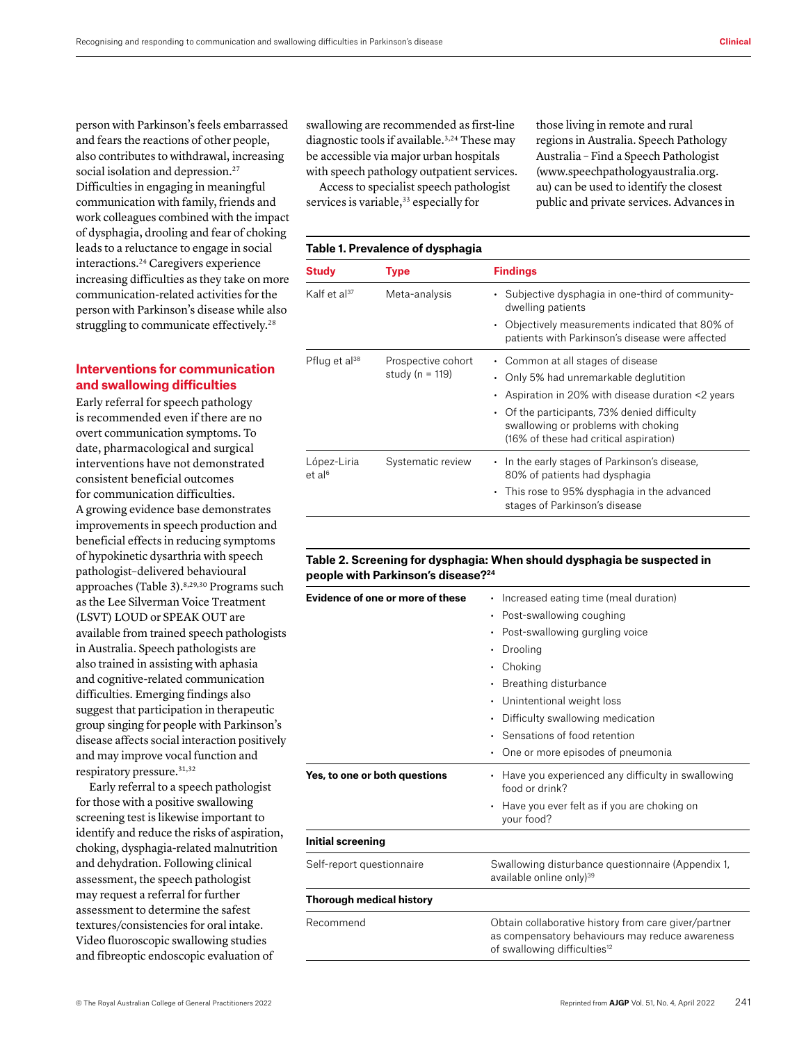person with Parkinson's feels embarrassed and fears the reactions of other people, also contributes to withdrawal, increasing social isolation and depression.<sup>27</sup> Difficulties in engaging in meaningful communication with family, friends and work colleagues combined with the impact of dysphagia, drooling and fear of choking leads to a reluctance to engage in social interactions.24 Caregivers experience increasing difficulties as they take on more communication-related activities for the person with Parkinson's disease while also struggling to communicate effectively.<sup>28</sup>

## **Interventions for communication and swallowing difficulties**

Early referral for speech pathology is recommended even if there are no overt communication symptoms. To date, pharmacological and surgical interventions have not demonstrated consistent beneficial outcomes for communication difficulties. A growing evidence base demonstrates improvements in speech production and beneficial effects in reducing symptoms of hypokinetic dysarthria with speech pathologist–delivered behavioural approaches (Table 3).<sup>8,29,30</sup> Programs such as the Lee Silverman Voice Treatment (LSVT) LOUD or SPEAK OUT are available from trained speech pathologists in Australia. Speech pathologists are also trained in assisting with aphasia and cognitive-related communication difficulties. Emerging findings also suggest that participation in therapeutic group singing for people with Parkinson's disease affects social interaction positively and may improve vocal function and respiratory pressure.31,32

Early referral to a speech pathologist for those with a positive swallowing screening test is likewise important to identify and reduce the risks of aspiration, choking, dysphagia-related malnutrition and dehydration. Following clinical assessment, the speech pathologist may request a referral for further assessment to determine the safest textures/consistencies for oral intake. Video fluoroscopic swallowing studies and fibreoptic endoscopic evaluation of

swallowing are recommended as first-line diagnostic tools if available.<sup>3,24</sup> These may be accessible via major urban hospitals with speech pathology outpatient services.

Access to specialist speech pathologist services is variable,<sup>33</sup> especially for

## **Table 1. Prevalence of dysphagia**

those living in remote and rural regions in Australia. Speech Pathology Australia – Find a Speech Pathologist [\(www.speechpathologyaustralia.org.](http://www.speechpathologyaustralia.org.au) [au\)](http://www.speechpathologyaustralia.org.au) can be used to identify the closest public and private services. Advances in

| <b>Study</b>                      | <b>Type</b>                               | <b>Findings</b>                                                                                                                                                                                                                                                                        |
|-----------------------------------|-------------------------------------------|----------------------------------------------------------------------------------------------------------------------------------------------------------------------------------------------------------------------------------------------------------------------------------------|
| Kalf et al <sup>37</sup>          | Meta-analysis                             | • Subjective dysphagia in one-third of community-<br>dwelling patients                                                                                                                                                                                                                 |
|                                   |                                           | Objectively measurements indicated that 80% of<br>$\bullet$<br>patients with Parkinson's disease were affected                                                                                                                                                                         |
| Pflug et al <sup>38</sup>         | Prospective cohort<br>study ( $n = 119$ ) | • Common at all stages of disease<br>Only 5% had unremarkable deglutition<br>$\bullet$<br>Aspiration in 20% with disease duration <2 years<br>٠<br>$\cdot$ Of the participants, 73% denied difficulty<br>swallowing or problems with choking<br>(16% of these had critical aspiration) |
| López-Liria<br>et al <sup>6</sup> | Systematic review                         | • In the early stages of Parkinson's disease,<br>80% of patients had dysphagia<br>This rose to 95% dysphagia in the advanced<br>٠<br>stages of Parkinson's disease                                                                                                                     |

#### **Table 2. Screening for dysphagia: When should dysphagia be suspected in people with Parkinson's disease?24**

| Evidence of one or more of these | Increased eating time (meal duration)                                                       |
|----------------------------------|---------------------------------------------------------------------------------------------|
|                                  | Post-swallowing coughing                                                                    |
|                                  | Post-swallowing gurgling voice<br>٠                                                         |
|                                  | Drooling                                                                                    |
|                                  | Choking                                                                                     |
|                                  |                                                                                             |
|                                  | Breathing disturbance                                                                       |
|                                  | Unintentional weight loss                                                                   |
|                                  | Difficulty swallowing medication<br>٠                                                       |
|                                  | Sensations of food retention                                                                |
|                                  | One or more episodes of pneumonia                                                           |
| Yes, to one or both questions    | Have you experienced any difficulty in swallowing<br>food or drink?                         |
|                                  | Have you ever felt as if you are choking on<br>your food?                                   |
| Initial screening                |                                                                                             |
| Self-report questionnaire        | Swallowing disturbance questionnaire (Appendix 1,<br>available online only) <sup>39</sup>   |
| <b>Thorough medical history</b>  |                                                                                             |
| Recommend                        | Obtain collaborative history from care giver/partner                                        |
|                                  | as compensatory behaviours may reduce awareness<br>of swallowing difficulties <sup>12</sup> |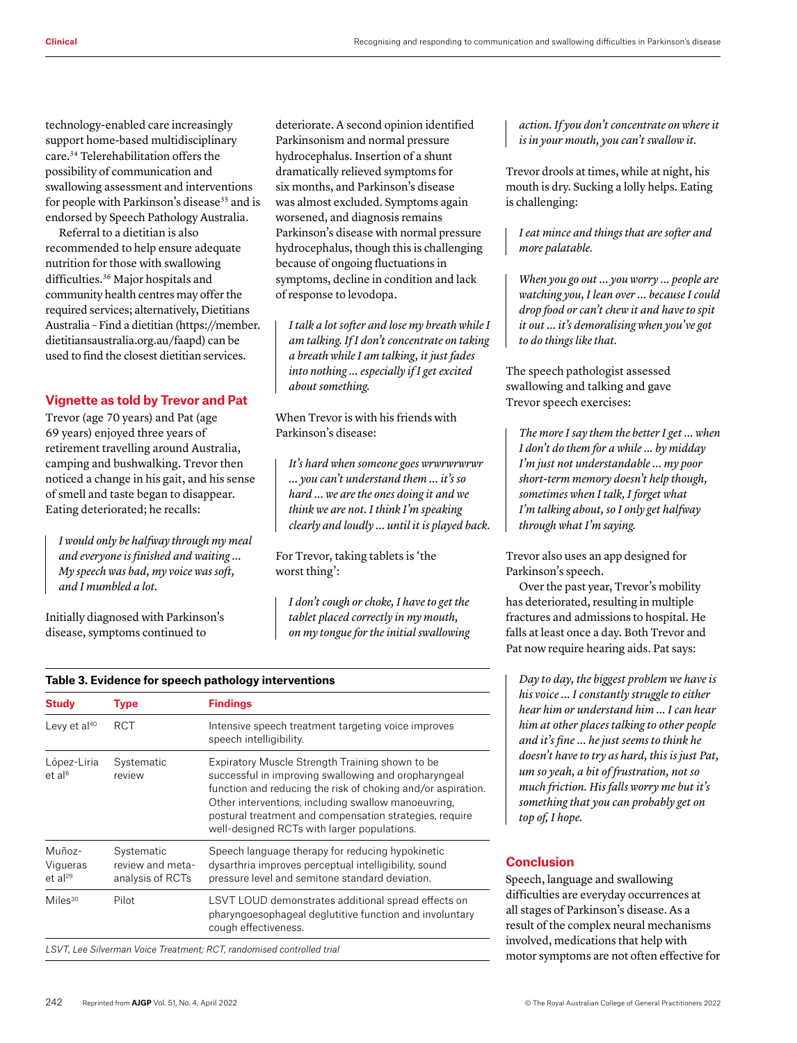technology-enabled care increasingly support home-based multidisciplinary care.34 Telerehabilitation offers the possibility of communication and swallowing assessment and interventions for people with Parkinson's disease<sup>35</sup> and is endorsed by Speech Pathology Australia.

Referral to a dietitian is also recommended to help ensure adequate nutrition for those with swallowing difficulties.36 Major hospitals and community health centres may offer the required services; alternatively, Dietitians Australia – Find a dietitian [\(https://member.](https://member.dietitiansaustralia.org.au/faapd) [dietitiansaustralia.org.au/faapd\)](https://member.dietitiansaustralia.org.au/faapd) can be used to find the closest dietitian services.

## **Vignette as told by Trevor and Pat**

Trevor (age 70 years) and Pat (age 69 years) enjoyed three years of retirement travelling around Australia, camping and bushwalking. Trevor then noticed a change in his gait, and his sense of smell and taste began to disappear. Eating deteriorated; he recalls:

*I would only be halfway through my meal and everyone is finished and waiting … My speech was bad, my voice was soft, and I mumbled a lot.*

Initially diagnosed with Parkinson's disease, symptoms continued to

deteriorate. A second opinion identified Parkinsonism and normal pressure hydrocephalus. Insertion of a shunt dramatically relieved symptoms for six months, and Parkinson's disease was almost excluded. Symptoms again worsened, and diagnosis remains Parkinson's disease with normal pressure hydrocephalus, though this is challenging because of ongoing fluctuations in symptoms, decline in condition and lack of response to levodopa.

*I talk a lot softer and lose my breath while I am talking. If I don't concentrate on taking a breath while I am talking, it just fades into nothing … especially if I get excited about something.*

When Trevor is with his friends with Parkinson's disease:

*It's hard when someone goes wrwrwrwrwr … you can't understand them … it's so hard … we are the ones doing it and we think we are not. I think I'm speaking clearly and loudly … until it is played back.*

For Trevor, taking tablets is 'the worst thing':

*I don't cough or choke, I have to get the tablet placed correctly in my mouth, on my tongue for the initial swallowing* 

## **Table 3. Evidence for speech pathology interventions**

| <b>RCT</b>                                         | Intensive speech treatment targeting voice improves<br>speech intelligibility.                                                                                                                                                                                                                                                           |
|----------------------------------------------------|------------------------------------------------------------------------------------------------------------------------------------------------------------------------------------------------------------------------------------------------------------------------------------------------------------------------------------------|
| Systematic<br>review                               | Expiratory Muscle Strength Training shown to be<br>successful in improving swallowing and oropharyngeal<br>function and reducing the risk of choking and/or aspiration.<br>Other interventions, including swallow manoeuvring,<br>postural treatment and compensation strategies, require<br>well-designed RCTs with larger populations. |
| Systematic<br>review and meta-<br>analysis of RCTs | Speech language therapy for reducing hypokinetic<br>dysarthria improves perceptual intelligibility, sound<br>pressure level and semitone standard deviation.                                                                                                                                                                             |
| Pilot                                              | LSVT LOUD demonstrates additional spread effects on<br>pharyngoesophageal deglutitive function and involuntary<br>cough effectiveness.                                                                                                                                                                                                   |
|                                                    |                                                                                                                                                                                                                                                                                                                                          |

*action. If you don't concentrate on where it is in your mouth, you can't swallow it.* 

Trevor drools at times, while at night, his mouth is dry. Sucking a lolly helps. Eating is challenging:

*I eat mince and things that are softer and more palatable.* 

*When you go out … you worry … people are watching you, I lean over … because I could drop food or can't chew it and have to spit it out … it's demoralising when you've got to do things like that.*

The speech pathologist assessed swallowing and talking and gave Trevor speech exercises:

*The more I say them the better I get … when I don't do them for a while ... by midday I'm just not understandable … my poor short-term memory doesn't help though, sometimes when I talk, I forget what I'm talking about, so I only get halfway through what I'm saying.*

Trevor also uses an app designed for Parkinson's speech.

Over the past year, Trevor's mobility has deteriorated, resulting in multiple fractures and admissions to hospital. He falls at least once a day. Both Trevor and Pat now require hearing aids. Pat says:

*Day to day, the biggest problem we have is his voice … I constantly struggle to either hear him or understand him … I can hear him at other places talking to other people and it's fine ... he just seems to think he doesn't have to try as hard, this is just Pat, um so yeah, a bit of frustration, not so much friction. His falls worry me but it's something that you can probably get on top of, I hope.*

# **Conclusion**

Speech, language and swallowing difficulties are everyday occurrences at all stages of Parkinson's disease. As a result of the complex neural mechanisms involved, medications that help with motor symptoms are not often effective for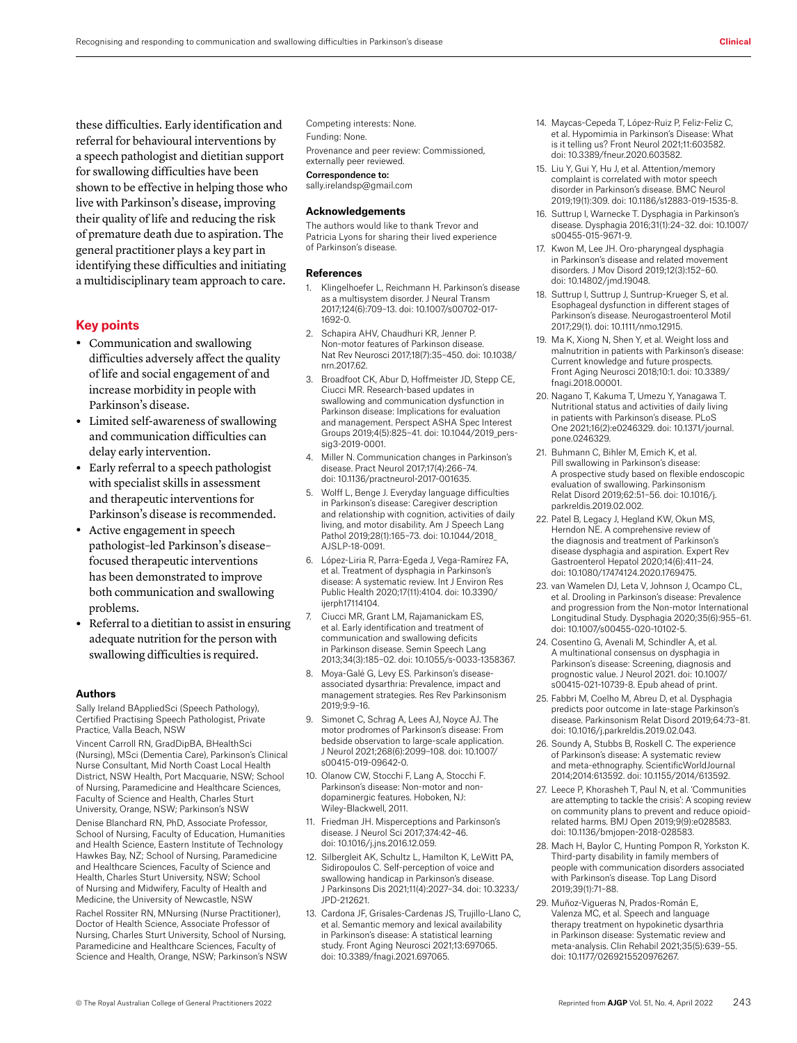these difficulties. Early identification and referral for behavioural interventions by a speech pathologist and dietitian support for swallowing difficulties have been shown to be effective in helping those who live with Parkinson's disease, improving their quality of life and reducing the risk of premature death due to aspiration. The general practitioner plays a key part in identifying these difficulties and initiating a multidisciplinary team approach to care.

### **Key points**

- **•** Communication and swallowing difficulties adversely affect the quality of life and social engagement of and increase morbidity in people with Parkinson's disease.
- **•** Limited self-awareness of swallowing and communication difficulties can delay early intervention.
- **•** Early referral to a speech pathologist with specialist skills in assessment and therapeutic interventions for Parkinson's disease is recommended.
- **•** Active engagement in speech pathologist–led Parkinson's disease– focused therapeutic interventions has been demonstrated to improve both communication and swallowing problems.
- **•** Referral to a dietitian to assist in ensuring adequate nutrition for the person with swallowing difficulties is required.

#### **Authors**

Sally Ireland BAppliedSci (Speech Pathology), Certified Practising Speech Pathologist, Private Practice, Valla Beach, NSW

Vincent Carroll RN, GradDipBA, BHealthSci (Nursing), MSci (Dementia Care), Parkinson's Clinical Nurse Consultant, Mid North Coast Local Health District, NSW Health, Port Macquarie, NSW; School of Nursing, Paramedicine and Healthcare Sciences, Faculty of Science and Health, Charles Sturt University, Orange, NSW; Parkinson's NSW

Denise Blanchard RN, PhD, Associate Professor, School of Nursing, Faculty of Education, Humanities and Health Science, Eastern Institute of Technology Hawkes Bay, NZ; School of Nursing, Paramedicine and Healthcare Sciences, Faculty of Science and Health, Charles Sturt University, NSW; School of Nursing and Midwifery, Faculty of Health and Medicine, the University of Newcastle, NSW

Rachel Rossiter RN, MNursing (Nurse Practitioner), Doctor of Health Science, Associate Professor of Nursing, Charles Sturt University, School of Nursing, Paramedicine and Healthcare Sciences, Faculty of Science and Health, Orange, NSW; Parkinson's NSW Competing interests: None.

Funding: None.

Provenance and peer review: Commissioned,

externally peer reviewed.

Correspondence to:

sally.irelandsp@gmail.com

#### **Acknowledgements**

The authors would like to thank Trevor and Patricia Lyons for sharing their lived experience of Parkinson's disease.

#### **References**

- 1. Klingelhoefer L, Reichmann H. Parkinson's disease as a multisystem disorder. J Neural Transm 2017;124(6):709–13. doi: 10.1007/s00702-017- 1692-0.
- 2. Schapira AHV, Chaudhuri KR, Jenner P. Non-motor features of Parkinson disease. Nat Rev Neurosci 2017;18(7):35–450. doi: 10.1038/ nrn.2017.62.
- 3. Broadfoot CK, Abur D, Hoffmeister JD, Stepp CE, Ciucci MR. Research-based updates in swallowing and communication dysfunction in Parkinson disease: Implications for evaluation and management. Perspect ASHA Spec Interest Groups 2019;4(5):825–41. doi: 10.1044/2019\_perssig3-2019-0001.
- 4. Miller N. Communication changes in Parkinson's disease. Pract Neurol 2017;17(4):266–74. doi: 10.1136/practneurol-2017-001635.
- 5. Wolff L, Benge J. Everyday language difficulties in Parkinson's disease: Caregiver description and relationship with cognition, activities of daily living, and motor disability. Am J Speech Lang Pathol 2019;28(1):165–73. doi: 10.1044/2018\_ AJSLP-18-0091.
- 6. López-Liria R, Parra-Egeda J, Vega-Ramírez FA, et al. Treatment of dysphagia in Parkinson's disease: A systematic review. Int J Environ Res Public Health 2020;17(11):4104. doi: 10.3390/ ijerph17114104.
- 7. Ciucci MR, Grant LM, Rajamanickam ES, et al. Early identification and treatment of communication and swallowing deficits in Parkinson disease. Semin Speech Lang 2013;34(3):185–02. doi: 10.1055/s-0033-1358367.
- 8. Moya-Galé G, Levy ES. Parkinson's diseaseassociated dysarthria: Prevalence, impact and management strategies. Res Rev Parkinsonism 2019;9:9–16.
- 9. Simonet C, Schrag A, Lees AJ, Noyce AJ. The motor prodromes of Parkinson's disease: From bedside observation to large-scale application. J Neurol 2021;268(6):2099–108. doi: 10.1007/ s00415-019-09642-0.
- 10. Olanow CW, Stocchi F, Lang A, Stocchi F. Parkinson's disease: Non-motor and nondopaminergic features. Hoboken, NJ: Wiley-Blackwell, 2011.
- 11. Friedman JH. Misperceptions and Parkinson's disease. J Neurol Sci 2017;374:42–46. doi: 10.1016/j.jns.2016.12.059.
- 12. Silbergleit AK, Schultz L, Hamilton K, LeWitt PA, Sidiropoulos C. Self-perception of voice and swallowing handicap in Parkinson's disease. J Parkinsons Dis 2021;11(4):2027–34. doi: 10.3233/ JPD-212621.
- 13. Cardona JF, Grisales-Cardenas JS, Trujillo-Llano C, et al. Semantic memory and lexical availability in Parkinson's disease: A statistical learning study. Front Aging Neurosci 2021;13:697065. doi: 10.3389/fnagi.2021.697065.
- 14. Maycas-Cepeda T, López-Ruiz P, Feliz-Feliz C, et al. Hypomimia in Parkinson's Disease: What is it telling us? Front Neurol 2021;11:603582. doi: 10.3389/fneur.2020.603582.
- 15. Liu Y, Gui Y, Hu J, et al. Attention/memory complaint is correlated with motor speech disorder in Parkinson's disease. BMC Neurol 2019;19(1):309. doi: 10.1186/s12883-019-1535-8.
- 16. Suttrup I, Warnecke T. Dysphagia in Parkinson's disease. Dysphagia 2016;31(1):24–32. doi: 10.1007/ s00455-015-9671-9.
- 17. Kwon M, Lee JH. Oro-pharyngeal dysphagia in Parkinson's disease and related movement disorders. J Mov Disord 2019;12(3):152–60. doi: 10.14802/jmd.19048.
- 18. Suttrup I, Suttrup J, Suntrup-Krueger S, et al. Esophageal dysfunction in different stages of Parkinson's disease. Neurogastroenterol Motil 2017;29(1). doi: 10.1111/nmo.12915.
- 19. Ma K, Xiong N, Shen Y, et al. Weight loss and malnutrition in patients with Parkinson's disease: Current knowledge and future prospects. Front Aging Neurosci 2018;10:1. doi: 10.3389/ fnagi.2018.00001.
- 20. Nagano T, Kakuma T, Umezu Y, Yanagawa T. Nutritional status and activities of daily living in patients with Parkinson's disease. PLoS One 2021;16(2):e0246329. doi: 10.1371/journal. pone.0246329.
- 21. Buhmann C, Bihler M, Emich K, et al. Pill swallowing in Parkinson's disease: A prospective study based on flexible endoscopic evaluation of swallowing. Parkinsonism Relat Disord 2019;62:51–56. doi: 10.1016/j. parkreldis.2019.02.002.
- 22. Patel B, Legacy J, Hegland KW, Okun MS, Herndon NE. A comprehensive review of the diagnosis and treatment of Parkinson's disease dysphagia and aspiration. Expert Rev Gastroenterol Hepatol 2020;14(6):411–24. doi: 10.1080/17474124.2020.1769475.
- 23. van Wamelen DJ, Leta V, Johnson J, Ocampo CL, et al. Drooling in Parkinson's disease: Prevalence and progression from the Non-motor International Longitudinal Study. Dysphagia 2020;35(6):955–61. doi: 10.1007/s00455-020-10102-5.
- 24. Cosentino G, Avenali M, Schindler A, et al. A multinational consensus on dysphagia in Parkinson's disease: Screening, diagnosis and prognostic value. J Neurol 2021. doi: 10.1007/ s00415-021-10739-8. Epub ahead of print.
- 25. Fabbri M, Coelho M, Abreu D, et al. Dysphagia predicts poor outcome in late-stage Parkinson's disease. Parkinsonism Relat Disord 2019;64:73–81. doi: 10.1016/j.parkreldis.2019.02.043.
- 26. Soundy A, Stubbs B, Roskell C. The experience of Parkinson's disease: A systematic review and meta-ethnography. ScientificWorldJournal 2014;2014:613592. doi: 10.1155/2014/613592.
- 27. Leece P, Khorasheh T, Paul N, et al. 'Communities are attempting to tackle the crisis': A scoping review on community plans to prevent and reduce opioidrelated harms. BMJ Open 2019;9(9):e028583. doi: 10.1136/bmjopen-2018-028583.
- 28. Mach H, Baylor C, Hunting Pompon R, Yorkston K. Third-party disability in family members of people with communication disorders associated with Parkinson's disease. Top Lang Disord 2019;39(1):71–88.
- 29. Muñoz-Vigueras N, Prados-Román E, Valenza MC, et al. Speech and language therapy treatment on hypokinetic dysarthria in Parkinson disease: Systematic review and meta-analysis. Clin Rehabil 2021;35(5):639–55. doi: 10.1177/0269215520976267.